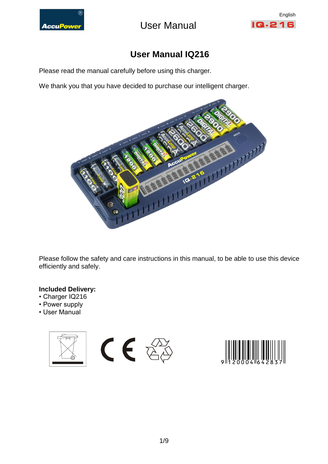

AccuPower **Contact USE** User Manual



## **User Manual IQ216**

Please read the manual carefully before using this charger.

We thank you that you have decided to purchase our intelligent charger.



Please follow the safety and care instructions in this manual, to be able to use this device efficiently and safely.

## **Included Delivery:**

- Charger IQ216
- Power supply
- User Manual



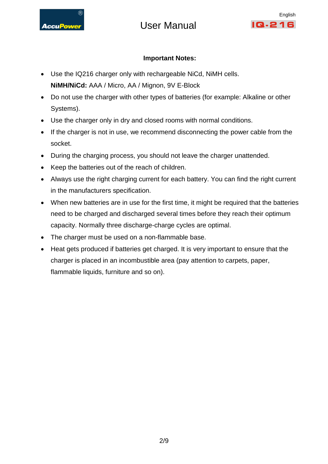

# AccuPower **Nanual** User Manual



## **Important Notes:**

- Use the IQ216 charger only with rechargeable NiCd, NiMH cells. **NiMH/NiCd:** AAA / Micro, AA / Mignon, 9V E-Block
- Do not use the charger with other types of batteries (for example: Alkaline or other Systems).
- Use the charger only in dry and closed rooms with normal conditions.
- If the charger is not in use, we recommend disconnecting the power cable from the socket.
- During the charging process, you should not leave the charger unattended.
- Keep the batteries out of the reach of children.
- Always use the right charging current for each battery. You can find the right current in the manufacturers specification.
- When new batteries are in use for the first time, it might be required that the batteries need to be charged and discharged several times before they reach their optimum capacity. Normally three discharge-charge cycles are optimal.
- The charger must be used on a non-flammable base.
- Heat gets produced if batteries get charged. It is very important to ensure that the charger is placed in an incombustible area (pay attention to carpets, paper, flammable liquids, furniture and so on).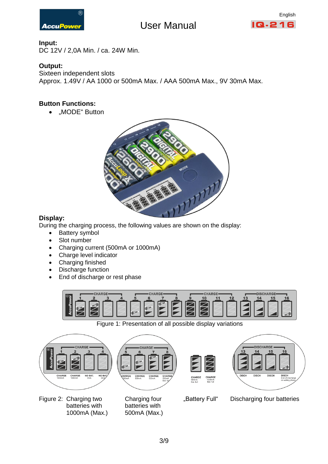

## AccuPower User Manual



### **Input:**

DC 12V / 2,0A Min. / ca. 24W Min.

## **Output:**

Sixteen independent slots Approx. 1.49V / AA 1000 or 500mA Max. / AAA 500mA Max., 9V 30mA Max.

## **Button Functions:**

• .MODE" Button



## **Display:**

During the charging process, the following values are shown on the display:

- Battery symbol
- Slot number
- Charging current (500mA or 1000mA)
- Charge level indicator
- Charging finished
- Discharge function
- End of discharge or rest phase



Figure 1: Presentation of all possible display variations

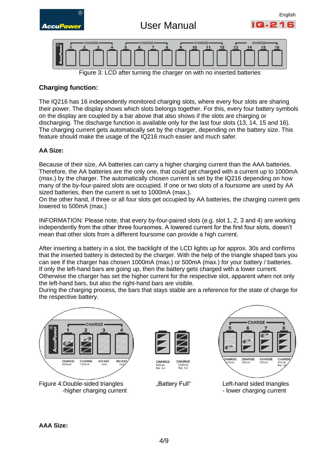

Figure 3: LCD after turning the charger on with no inserted batteries

## **Charging function:**

The IQ216 has 16 independently monitored charging slots, where every four slots are sharing their power. The display shows which slots belongs together. For this, every four battery symbols on the display are coupled by a bar above that also shows if the slots are charging or discharging. The discharge function is available only for the last four slots (13, 14, 15 and 16). The charging current gets automatically set by the charger, depending on the battery size. This feature should make the usage of the IQ216 much easier and much safer.

### **AA Size:**

Because of their size, AA batteries can carry a higher charging current than the AAA batteries. Therefore, the AA batteries are the only one, that could get charged with a current up to 1000mA (max.) by the charger. The automatically chosen current is set by the IQ216 depending on how many of the by-four-paired slots are occupied. If one or two slots of a foursome are used by AA sized batteries, then the current is set to 1000mA (max.).

On the other hand, if three or all four slots get occupied by AA batteries, the charging current gets lowered to 500mA (max.)

INFORMATION: Please note, that every by-four-paired slots (e.g. slot 1, 2, 3 and 4) are working independently from the other three foursomes. A lowered current for the first four slots, doesn't mean that other slots from a different foursome can provide a high current.

After inserting a battery in a slot, the backlight of the LCD lights up for approx. 30s and confirms that the inserted battery is detected by the charger. With the help of the triangle shaped bars you can see if the charger has chosen 1000mA (max.) or 500mA (max.) for your battery / batteries. If only the left-hand bars are going up, then the battery gets charged with a lower current. Otherwise the charger has set the higher current for the respective slot, apparent when not only the left-hand bars, but also the right-hand bars are visible.

During the charging process, the bars that stays stable are a reference for the state of charge for the respective battery.



Figure 4:Double-sided triangles "Battery Full" Left-hand sided triangles



CHARGE CHARGE 500mA<br>Bat. full 1000mA<br>Bat. full





-higher charging current - lower charging current - lower charging current

**AAA Size:**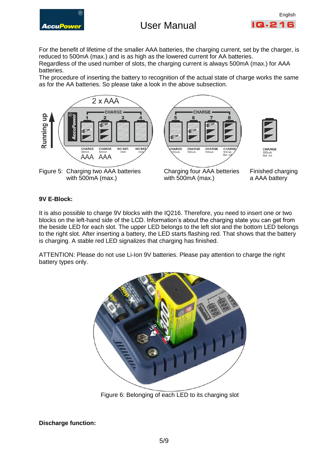# AccuPower User Manual



For the benefit of lifetime of the smaller AAA batteries, the charging current, set by the charger, is reduced to 500mA (max.) and is as high as the lowered current for AA batteries. Regardless of the used number of slots, the charging current is always 500mA (max.) for AAA batteries.

The procedure of inserting the battery to recognition of the actual state of charge works the same as for the AA batteries. So please take a look in the above subsection.



### **9V E-Block:**

It is also possible to charge 9V blocks with the IQ216. Therefore, you need to insert one or two blocks on the left-hand side of the LCD. Information's about the charging state you can get from the beside LED for each slot. The upper LED belongs to the left slot and the bottom LED belongs to the right slot. After inserting a battery, the LED starts flashing red. That shows that the battery is charging. A stable red LED signalizes that charging has finished.

ATTENTION: Please do not use Li-Ion 9V batteries. Please pay attention to charge the right battery types only.



Figure 6: Belonging of each LED to its charging slot

**Discharge function:**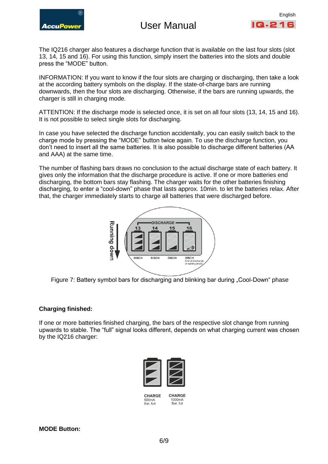

## AccuPower LISA USA USAN USA



The IQ216 charger also features a discharge function that is available on the last four slots (slot 13, 14, 15 and 16). For using this function, simply insert the batteries into the slots and double press the "MODE" button.

INFORMATION: If you want to know if the four slots are charging or discharging, then take a look at the according battery symbols on the display. If the state-of-charge bars are running downwards, then the four slots are discharging. Otherwise, if the bars are running upwards, the charger is still in charging mode.

ATTENTION: If the discharge mode is selected once, it is set on all four slots (13, 14, 15 and 16). It is not possible to select single slots for discharging.

In case you have selected the discharge function accidentally, you can easily switch back to the charge mode by pressing the "MODE" button twice again. To use the discharge function, you don't need to insert all the same batteries. It is also possible to discharge different batteries (AA and AAA) at the same time.

The number of flashing bars draws no conclusion to the actual discharge state of each battery. It gives only the information that the discharge procedure is active. If one or more batteries end discharging, the bottom bars stay flashing. The charger waits for the other batteries finishing discharging, to enter a "cool-down" phase that lasts approx. 10min. to let the batteries relax. After that, the charger immediately starts to charge all batteries that were discharged before.



Figure 7: Battery symbol bars for discharging and blinking bar during "Cool-Down" phase

### **Charging finished:**

If one or more batteries finished charging, the bars of the respective slot change from running upwards to stable. The "full" signal looks different, depends on what charging current was chosen by the IQ216 charger:



CHARGE 500mA Bot full

CHARGE 1000mA Bot full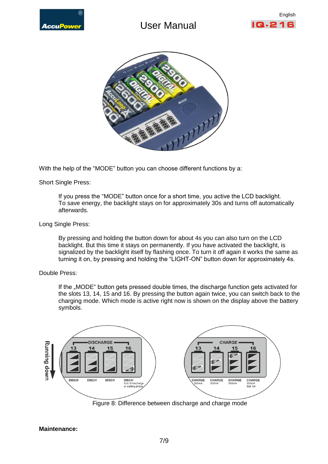

# **Contains and Search Manual**





With the help of the "MODE" button you can choose different functions by a:

Short Single Press:

If you press the "MODE" button once for a short time, you active the LCD backlight. To save energy, the backlight stays on for approximately 30s and turns off automatically afterwards.

Long Single Press:

By pressing and holding the button down for about 4s you can also turn on the LCD backlight. But this time it stays on permanently. If you have activated the backlight, is signalized by the backlight itself by flashing once. To turn it off again it works the same as turning it on, by pressing and holding the "LIGHT-ON" button down for approximately 4s.

Double Press:

If the "MODE" button gets pressed double times, the discharge function gets activated for the slots 13, 14, 15 and 16. By pressing the button again twice, you can switch back to the charging mode. Which mode is active right now is shown on the display above the battery symbols.



Figure 8: Difference between discharge and charge mode

#### **Maintenance:**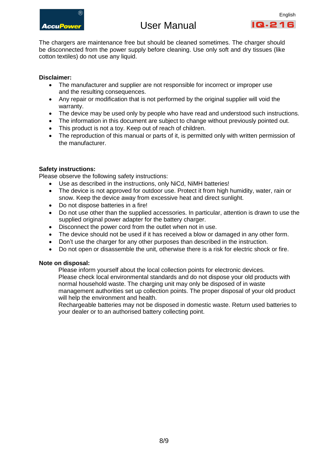

# AccuPower User Manual



The chargers are maintenance free but should be cleaned sometimes. The charger should be disconnected from the power supply before cleaning. Use only soft and dry tissues (like cotton textiles) do not use any liquid.

### **Disclaimer:**

- The manufacturer and supplier are not responsible for incorrect or improper use and the resulting consequences.
- Any repair or modification that is not performed by the original supplier will void the warranty.
- The device may be used only by people who have read and understood such instructions.
- The information in this document are subject to change without previously pointed out.
- This product is not a toy. Keep out of reach of children.
- The reproduction of this manual or parts of it, is permitted only with written permission of the manufacturer.

### **Safety instructions:**

Please observe the following safety instructions:

- Use as described in the instructions, only NiCd, NiMH batteries!
- The device is not approved for outdoor use. Protect it from high humidity, water, rain or snow. Keep the device away from excessive heat and direct sunlight.
- Do not dispose batteries in a fire!
- Do not use other than the supplied accessories. In particular, attention is drawn to use the supplied original power adapter for the battery charger.
- Disconnect the power cord from the outlet when not in use.
- The device should not be used if it has received a blow or damaged in any other form.
- Don't use the charger for any other purposes than described in the instruction.
- Do not open or disassemble the unit, otherwise there is a risk for electric shock or fire.

#### **Note on disposal:**

Please inform yourself about the local collection points for electronic devices. Please check local environmental standards and do not dispose your old products with normal household waste. The charging unit may only be disposed of in waste management authorities set up collection points. The proper disposal of your old product will help the environment and health.

Rechargeable batteries may not be disposed in domestic waste. Return used batteries to your dealer or to an authorised battery collecting point.

8/9